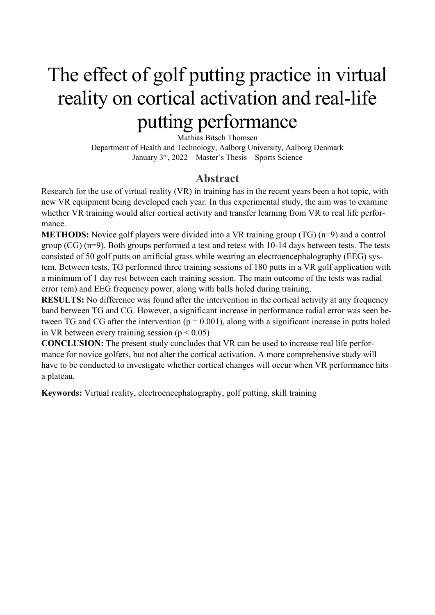# The effect of golf putting practice in virtual reality on cortical activation and real-life putting performance

Mathias Bitsch Thomsen Department of Health and Technology, Aalborg University, Aalborg Denmark January  $3<sup>rd</sup>$ , 2022 – Master's Thesis – Sports Science

#### **Abstract**

Research for the use of virtual reality (VR) in training has in the recent years been a hot topic, with new VR equipment being developed each year. In this experimental study, the aim was to examine whether VR training would alter cortical activity and transfer learning from VR to real life performance.

**METHODS:** Novice golf players were divided into a VR training group (TG) (n=9) and a control group  $(CG)$  (n=9). Both groups performed a test and retest with 10-14 days between tests. The tests consisted of 50 golf putts on artificial grass while wearing an electroencephalography (EEG) system. Between tests, TG performed three training sessions of 180 putts in a VR golf application with a minimum of 1 day rest between each training session. The main outcome of the tests was radial error (cm) and EEG frequency power, along with balls holed during training.

**RESULTS:** No difference was found after the intervention in the cortical activity at any frequency band between TG and CG. However, a significant increase in performance radial error was seen between TG and CG after the intervention ( $p = 0.001$ ), along with a significant increase in putts holed in VR between every training session ( $p < 0.05$ )

**CONCLUSION:** The present study concludes that VR can be used to increase real life performance for novice golfers, but not alter the cortical activation. A more comprehensive study will have to be conducted to investigate whether cortical changes will occur when VR performance hits a plateau.

**Keywords:** Virtual reality, electroencephalography, golf putting, skill training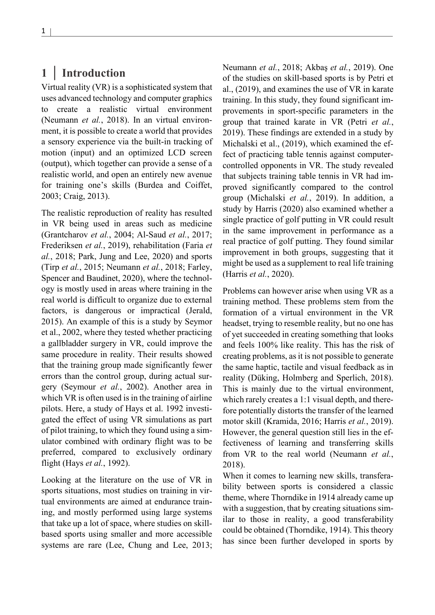## **1 | Introduction**

Virtual reality (VR) is a sophisticated system that uses advanced technology and computer graphics to create a realistic virtual environment (Neumann *et al.*, 2018). In an virtual environment, it is possible to create a world that provides a sensory experience via the built-in tracking of motion (input) and an optimized LCD screen (output), which together can provide a sense of a realistic world, and open an entirely new avenue for training one's skills (Burdea and Coiffet, 2003; Craig, 2013).

The realistic reproduction of reality has resulted in VR being used in areas such as medicine (Grantcharov *et al.*, 2004; Al-Saud *et al.*, 2017; Frederiksen *et al.*, 2019), rehabilitation (Faria *et al.*, 2018; Park, Jung and Lee, 2020) and sports (Tirp *et al.*, 2015; Neumann *et al.*, 2018; Farley, Spencer and Baudinet, 2020), where the technology is mostly used in areas where training in the real world is difficult to organize due to external factors, is dangerous or impractical (Jerald, 2015). An example of this is a study by Seymor et al., 2002, where they tested whether practicing a gallbladder surgery in VR, could improve the same procedure in reality. Their results showed that the training group made significantly fewer errors than the control group, during actual surgery (Seymour *et al.*, 2002). Another area in which VR is often used is in the training of airline pilots. Here, a study of Hays et al. 1992 investigated the effect of using VR simulations as part of pilot training, to which they found using a simulator combined with ordinary flight was to be preferred, compared to exclusively ordinary flight (Hays *et al.*, 1992).

Looking at the literature on the use of VR in sports situations, most studies on training in virtual environments are aimed at endurance training, and mostly performed using large systems that take up a lot of space, where studies on skillbased sports using smaller and more accessible systems are rare (Lee, Chung and Lee, 2013; Neumann *et al.*, 2018; Akbaş *et al.*, 2019). One of the studies on skill-based sports is by Petri et al., (2019), and examines the use of VR in karate training. In this study, they found significant improvements in sport-specific parameters in the group that trained karate in VR (Petri *et al.*, 2019). These findings are extended in a study by Michalski et al., (2019), which examined the effect of practicing table tennis against computercontrolled opponents in VR. The study revealed that subjects training table tennis in VR had improved significantly compared to the control group (Michalski *et al.*, 2019). In addition, a study by Harris (2020) also examined whether a single practice of golf putting in VR could result in the same improvement in performance as a real practice of golf putting. They found similar improvement in both groups, suggesting that it might be used as a supplement to real life training (Harris *et al.*, 2020).

Problems can however arise when using VR as a training method. These problems stem from the formation of a virtual environment in the VR headset, trying to resemble reality, but no one has of yet succeeded in creating something that looks and feels 100% like reality. This has the risk of creating problems, as it is not possible to generate the same haptic, tactile and visual feedback as in reality (Düking, Holmberg and Sperlich, 2018). This is mainly due to the virtual environment, which rarely creates a 1:1 visual depth, and therefore potentially distorts the transfer of the learned motor skill (Kramida, 2016; Harris *et al.*, 2019). However, the general question still lies in the effectiveness of learning and transferring skills from VR to the real world (Neumann *et al.*, 2018).

When it comes to learning new skills, transferability between sports is considered a classic theme, where Thorndike in 1914 already came up with a suggestion, that by creating situations similar to those in reality, a good transferability could be obtained (Thorndike, 1914). This theory has since been further developed in sports by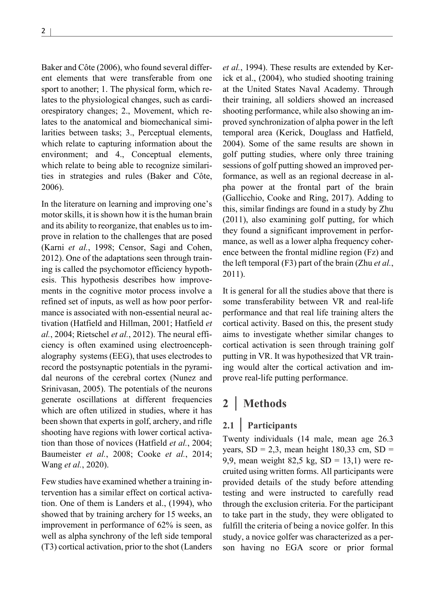Baker and Côte (2006), who found several different elements that were transferable from one sport to another; 1. The physical form, which relates to the physiological changes, such as cardiorespiratory changes; 2., Movement, which relates to the anatomical and biomechanical similarities between tasks; 3., Perceptual elements, which relate to capturing information about the environment; and 4., Conceptual elements, which relate to being able to recognize similarities in strategies and rules (Baker and Côte, 2006).

In the literature on learning and improving one's motor skills, it is shown how it is the human brain and its ability to reorganize, that enables us to improve in relation to the challenges that are posed (Karni *et al.*, 1998; Censor, Sagi and Cohen, 2012). One of the adaptations seen through training is called the psychomotor efficiency hypothesis. This hypothesis describes how improvements in the cognitive motor process involve a refined set of inputs, as well as how poor performance is associated with non-essential neural activation (Hatfield and Hillman, 2001; Hatfield *et al.*, 2004; Rietschel *et al.*, 2012). The neural efficiency is often examined using electroencephalography systems (EEG), that uses electrodes to record the postsynaptic potentials in the pyramidal neurons of the cerebral cortex (Nunez and Srinivasan, 2005). The potentials of the neurons generate oscillations at different frequencies which are often utilized in studies, where it has been shown that experts in golf, archery, and rifle shooting have regions with lower cortical activation than those of novices (Hatfield *et al.*, 2004; Baumeister *et al.*, 2008; Cooke *et al.*, 2014; Wang *et al.*, 2020).

Few studies have examined whether a training intervention has a similar effect on cortical activation. One of them is Landers et al., (1994), who showed that by training archery for 15 weeks, an improvement in performance of 62% is seen, as well as alpha synchrony of the left side temporal (T3) cortical activation, prior to the shot (Landers *et al.*, 1994). These results are extended by Kerick et al., (2004), who studied shooting training at the United States Naval Academy. Through their training, all soldiers showed an increased shooting performance, while also showing an improved synchronization of alpha power in the left temporal area (Kerick, Douglass and Hatfield, 2004). Some of the same results are shown in golf putting studies, where only three training sessions of golf putting showed an improved performance, as well as an regional decrease in alpha power at the frontal part of the brain (Gallicchio, Cooke and Ring, 2017). Adding to this, similar findings are found in a study by Zhu (2011), also examining golf putting, for which they found a significant improvement in performance, as well as a lower alpha frequency coherence between the frontal midline region (Fz) and the left temporal (F3) part of the brain (Zhu *et al.*, 2011).

It is general for all the studies above that there is some transferability between VR and real-life performance and that real life training alters the cortical activity. Based on this, the present study aims to investigate whether similar changes to cortical activation is seen through training golf putting in VR. It was hypothesized that VR training would alter the cortical activation and improve real-life putting performance.

## **2 | Methods**

#### **2.1 | Participants**

Twenty individuals (14 male, mean age 26.3 years,  $SD = 2,3$ , mean height 180,33 cm,  $SD =$ 9,9, mean weight 82,5 kg,  $SD = 13,1$ ) were recruited using written forms. All participants were provided details of the study before attending testing and were instructed to carefully read through the exclusion criteria. For the participant to take part in the study, they were obligated to fulfill the criteria of being a novice golfer. In this study, a novice golfer was characterized as a person having no EGA score or prior formal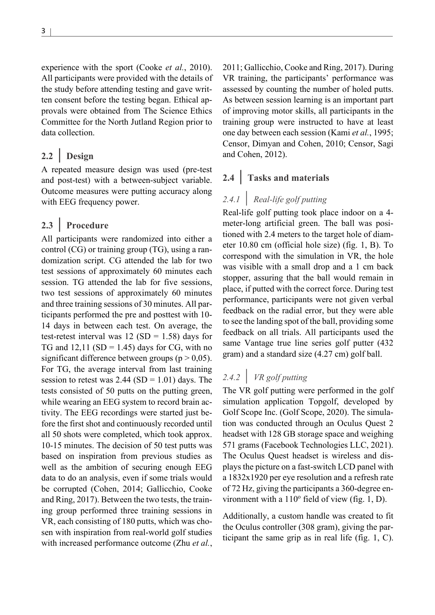experience with the sport (Cooke *et al.*, 2010). All participants were provided with the details of the study before attending testing and gave written consent before the testing began. Ethical approvals were obtained from The Science Ethics Committee for the North Jutland Region prior to data collection.

## **2.2 | Design**

A repeated measure design was used (pre-test and post-test) with a between-subject variable. Outcome measures were putting accuracy along with EEG frequency power.

### **2.3 | Procedure**

All participants were randomized into either a control (CG) or training group (TG), using a randomization script. CG attended the lab for two test sessions of approximately 60 minutes each session. TG attended the lab for five sessions, two test sessions of approximately 60 minutes and three training sessions of 30 minutes. All participants performed the pre and posttest with 10- 14 days in between each test. On average, the test-retest interval was  $12 (SD = 1.58)$  days for TG and  $12,11$  (SD = 1.45) days for CG, with no significant difference between groups ( $p > 0.05$ ). For TG, the average interval from last training session to retest was  $2.44$  (SD = 1.01) days. The tests consisted of 50 putts on the putting green, while wearing an EEG system to record brain activity. The EEG recordings were started just before the first shot and continuously recorded until all 50 shots were completed, which took approx. 10-15 minutes. The decision of 50 test putts was based on inspiration from previous studies as well as the ambition of securing enough EEG data to do an analysis, even if some trials would be corrupted (Cohen, 2014; Gallicchio, Cooke and Ring, 2017). Between the two tests, the training group performed three training sessions in VR, each consisting of 180 putts, which was chosen with inspiration from real-world golf studies with increased performance outcome (Zhu *et al.*,

2011; Gallicchio, Cooke and Ring, 2017). During VR training, the participants' performance was assessed by counting the number of holed putts. As between session learning is an important part of improving motor skills, all participants in the training group were instructed to have at least one day between each session (Kami *et al.*, 1995; Censor, Dimyan and Cohen, 2010; Censor, Sagi and Cohen, 2012).

## **2.4 | Tasks and materials**

## *2.4.1 | Real-life golf putting*

Real-life golf putting took place indoor on a 4 meter-long artificial green. The ball was positioned with 2.4 meters to the target hole of diameter 10.80 cm (official hole size) (fig. 1, B). To correspond with the simulation in VR, the hole was visible with a small drop and a 1 cm back stopper, assuring that the ball would remain in place, if putted with the correct force. During test performance, participants were not given verbal feedback on the radial error, but they were able to see the landing spot of the ball, providing some feedback on all trials. All participants used the same Vantage true line series golf putter (432 gram) and a standard size (4.27 cm) golf ball.

## *2.4.2 | VR golf putting*

The VR golf putting were performed in the golf simulation application Topgolf, developed by Golf Scope Inc. (Golf Scope, 2020). The simulation was conducted through an Oculus Quest 2 headset with 128 GB storage space and weighing 571 grams (Facebook Technologies LLC, 2021). The Oculus Quest headset is wireless and displays the picture on a fast-switch LCD panel with a 1832x1920 per eye resolution and a refresh rate of 72 Hz, giving the participants a 360-degree environment with a  $110^{\circ}$  field of view (fig. 1, D).

Additionally, a custom handle was created to fit the Oculus controller (308 gram), giving the participant the same grip as in real life (fig. 1, C).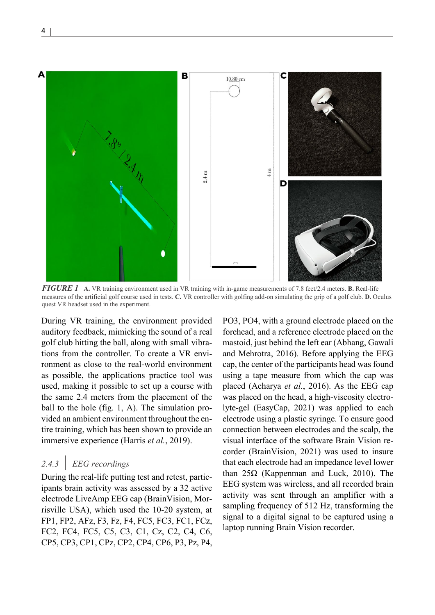

*FIGURE 1* **A.** VR training environment used in VR training with in-game measurements of 7.8 feet/2.4 meters. **B.** Real-life measures of the artificial golf course used in tests. **C.** VR controller with golfing add-on simulating the grip of a golf club. **D.** Oculus quest VR headset used in the experiment.

During VR training, the environment provided auditory feedback, mimicking the sound of a real golf club hitting the ball, along with small vibrations from the controller. To create a VR environment as close to the real-world environment as possible, the applications practice tool was used, making it possible to set up a course with the same 2.4 meters from the placement of the ball to the hole (fig. 1, A). The simulation provided an ambient environment throughout the entire training, which has been shown to provide an immersive experience (Harris *et al.*, 2019).

## *2.4.3 | EEG recordings*

During the real-life putting test and retest, participants brain activity was assessed by a 32 active electrode LiveAmp EEG cap (BrainVision, Morrisville USA), which used the 10-20 system, at FP1, FP2, AFz, F3, Fz, F4, FC5, FC3, FC1, FCz, FC2, FC4, FC5, C5, C3, C1, Cz, C2, C4, C6, CP5, CP3, CP1, CPz, CP2, CP4, CP6, P3, Pz, P4,

PO3, PO4, with a ground electrode placed on the forehead, and a reference electrode placed on the mastoid, just behind the left ear (Abhang, Gawali and Mehrotra, 2016). Before applying the EEG cap, the center of the participants head was found using a tape measure from which the cap was placed (Acharya *et al.*, 2016). As the EEG cap was placed on the head, a high-viscosity electrolyte-gel (EasyCap, 2021) was applied to each electrode using a plastic syringe. To ensure good connection between electrodes and the scalp, the visual interface of the software Brain Vision recorder (BrainVision, 2021) was used to insure that each electrode had an impedance level lower than 25Ω (Kappenman and Luck, 2010). The EEG system was wireless, and all recorded brain activity was sent through an amplifier with a sampling frequency of 512 Hz, transforming the signal to a digital signal to be captured using a laptop running Brain Vision recorder.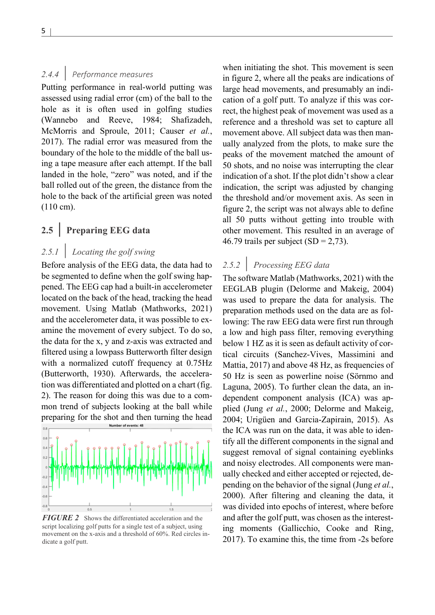#### *2.4.4 | Performance measures*

Putting performance in real-world putting was assessed using radial error (cm) of the ball to the hole as it is often used in golfing studies (Wannebo and Reeve, 1984; Shafizadeh, McMorris and Sproule, 2011; Causer *et al.*, 2017). The radial error was measured from the boundary of the hole to the middle of the ball using a tape measure after each attempt. If the ball landed in the hole, "zero" was noted, and if the ball rolled out of the green, the distance from the hole to the back of the artificial green was noted (110 cm).

#### **2.5 | Preparing EEG data**

## *2.5.1 | Locating the golf swing*

Before analysis of the EEG data, the data had to be segmented to define when the golf swing happened. The EEG cap had a built-in accelerometer located on the back of the head, tracking the head movement. Using Matlab (Mathworks, 2021) and the accelerometer data, it was possible to examine the movement of every subject. To do so, the data for the x, y and z-axis was extracted and filtered using a lowpass Butterworth filter design with a normalized cutoff frequency at 0.75Hz (Butterworth, 1930). Afterwards, the acceleration was differentiated and plotted on a chart (fig. 2). The reason for doing this was due to a common trend of subjects looking at the ball while preparing for the shot and then turning the head



*FIGURE 2* Shows the differentiated acceleration and the script localizing golf putts for a single test of a subject, using movement on the x-axis and a threshold of 60%. Red circles indicate a golf putt.

when initiating the shot. This movement is seen in figure 2, where all the peaks are indications of large head movements, and presumably an indication of a golf putt. To analyze if this was correct, the highest peak of movement was used as a reference and a threshold was set to capture all movement above. All subject data was then manually analyzed from the plots, to make sure the peaks of the movement matched the amount of 50 shots, and no noise was interrupting the clear indication of a shot. If the plot didn't show a clear indication, the script was adjusted by changing the threshold and/or movement axis. As seen in figure 2, the script was not always able to define all 50 putts without getting into trouble with other movement. This resulted in an average of 46.79 trails per subject  $(SD = 2,73)$ .

#### *2.5.2 | Processing EEG data*

The software Matlab (Mathworks, 2021) with the EEGLAB plugin (Delorme and Makeig, 2004) was used to prepare the data for analysis. The preparation methods used on the data are as following: The raw EEG data were first run through a low and high pass filter, removing everything below 1 HZ as it is seen as default activity of cortical circuits (Sanchez-Vives, Massimini and Mattia, 2017) and above 48 Hz, as frequencies of 50 Hz is seen as powerline noise (Sörnmo and Laguna, 2005). To further clean the data, an independent component analysis (ICA) was applied (Jung *et al.*, 2000; Delorme and Makeig, 2004; Urigüen and Garcia-Zapirain, 2015). As the ICA was run on the data, it was able to identify all the different components in the signal and suggest removal of signal containing eyeblinks and noisy electrodes. All components were manually checked and either accepted or rejected, depending on the behavior of the signal (Jung *et al.*, 2000). After filtering and cleaning the data, it was divided into epochs of interest, where before and after the golf putt, was chosen as the interesting moments (Gallicchio, Cooke and Ring, 2017). To examine this, the time from -2s before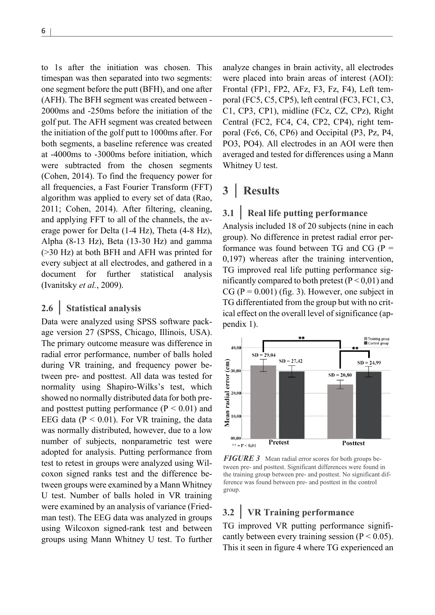to 1s after the initiation was chosen. This timespan was then separated into two segments: one segment before the putt (BFH), and one after (AFH). The BFH segment was created between - 2000ms and -250ms before the initiation of the golf put. The AFH segment was created between the initiation of the golf putt to 1000ms after. For both segments, a baseline reference was created at -4000ms to -3000ms before initiation, which were subtracted from the chosen segments (Cohen, 2014). To find the frequency power for all frequencies, a Fast Fourier Transform (FFT) algorithm was applied to every set of data (Rao, 2011; Cohen, 2014). After filtering, cleaning, and applying FFT to all of the channels, the average power for Delta (1-4 Hz), Theta (4-8 Hz), Alpha (8-13 Hz), Beta (13-30 Hz) and gamma (>30 Hz) at both BFH and AFH was printed for every subject at all electrodes, and gathered in a document for further statistical analysis (Ivanitsky *et al.*, 2009).

#### **2.6 | Statistical analysis**

Data were analyzed using SPSS software package version 27 (SPSS, Chicago, Illinois, USA). The primary outcome measure was difference in radial error performance, number of balls holed during VR training, and frequency power between pre- and posttest. All data was tested for normality using Shapiro-Wilks's test, which showed no normally distributed data for both preand posttest putting performance  $(P < 0.01)$  and EEG data ( $P < 0.01$ ). For VR training, the data was normally distributed, however, due to a low number of subjects, nonparametric test were adopted for analysis. Putting performance from test to retest in groups were analyzed using Wilcoxon signed ranks test and the difference between groups were examined by a Mann Whitney U test. Number of balls holed in VR training were examined by an analysis of variance (Friedman test). The EEG data was analyzed in groups using Wilcoxon signed-rank test and between groups using Mann Whitney U test. To further

analyze changes in brain activity, all electrodes were placed into brain areas of interest (AOI): Frontal (FP1, FP2, AFz, F3, Fz, F4), Left temporal (FC5, C5, CP5), left central (FC3, FC1, C3, C1, CP3, CP1), midline (FCz, CZ, CPz), Right Central (FC2, FC4, C4, CP2, CP4), right temporal (Fc6, C6, CP6) and Occipital (P3, Pz, P4, PO3, PO4). All electrodes in an AOI were then averaged and tested for differences using a Mann Whitney U test.

## **3 | Results**

#### **3.1 | Real life putting performance**

Analysis included 18 of 20 subjects (nine in each group). No difference in pretest radial error performance was found between TG and  $CG (P =$ 0,197) whereas after the training intervention, TG improved real life putting performance significantly compared to both pretest  $(P < 0.01)$  and CG ( $P = 0.001$ ) (fig. 3). However, one subject in TG differentiated from the group but with no critical effect on the overall level of significance (appendix 1).



*FIGURE 3* Mean radial error scores for both groups between pre- and posttest. Significant differences were found in the training group between pre- and posttest. No significant difference was found between pre- and posttest in the control group.

#### **3.2 | VR Training performance**

TG improved VR putting performance significantly between every training session ( $P < 0.05$ ). This it seen in figure 4 where TG experienced an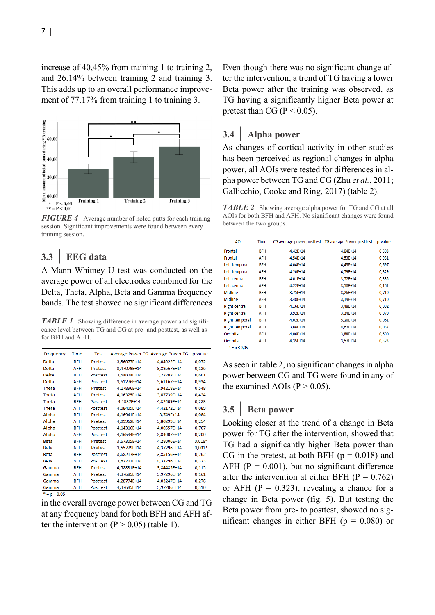increase of 40,45% from training 1 to training 2, and 26.14% between training 2 and training 3. This adds up to an overall performance improvement of 77.17% from training 1 to training 3.



*FIGURE 4* Average number of holed putts for each training session. Significant improvements were found between every training session.

## **3.3 | EEG data**

A Mann Whitney U test was conducted on the average power of all electrodes combined for the Delta, Theta, Alpha, Beta and Gamma frequency bands. The test showed no significant differences

**TABLE 1** Showing difference in average power and significance level between TG and CG at pre- and posttest, as well as for BFH and AFH.

| Frequency      | Time       | <b>Test</b>    |             | Average Power CG Average Power TG | p-value  |
|----------------|------------|----------------|-------------|-----------------------------------|----------|
| Delta          | <b>BFH</b> | Pretest        | 3.56077E+14 | 4.04922E+14                       | 0,072    |
| Delta          | <b>AFH</b> | Pretest        | 3,47079E+14 | 3,89567E+14                       | 0,126    |
| Delta          | <b>BFH</b> | Posttest       | 3,54824E+14 | 3,72702E+14                       | 0,601    |
| Delta          | AFH        | Posttest       | 3,51276E+14 | 3,61167E+14                       | 0,934    |
| Theta          | <b>BFH</b> | Pretest        | 4.17896E+14 | 3,94218E+14                       | 0,548    |
| Theta          | <b>AFH</b> | Pretest        | 4,16325E+14 | 3,87739E+14                       | 0,424    |
| Theta          | <b>BFH</b> | Posttest       | 4,1337E+14  | 4.32409E+14                       | 0,283    |
| Theta          | <b>AFH</b> | Posttest       | 4,08409E+14 | 4,42172E+14                       | 0,089    |
| Alpha          | <b>BFH</b> | Pretest        | 4,16941E+14 | 3,749E+14                         | 0,084    |
| Alpha          | <b>AFH</b> | Pretest        | 4,09962E+14 | 3,80299E+14                       | 0,254    |
| Alpha          | <b>BFH</b> | Posttest       | 4,14316E+14 | 4,00557E+14                       | 0,707    |
| Alpha          | <b>AFH</b> | Posttest       | 4.16534E+14 | 3.84007E+14                       | 0,200    |
| Beta           | <b>BFH</b> | Pretest        | 3,67305E+14 | 4,28006E+14                       | $0,018*$ |
| <b>Beta</b>    | <b>AFH</b> | <b>Pretest</b> | 3,55729E+14 | 4,37296E+14                       | $0,001*$ |
| <b>Beta</b>    | <b>BFH</b> | Posttest       | 3,68217E+14 | 3,85156E+14                       | 0.762    |
| <b>Beta</b>    | <b>AFH</b> | Posttest       | 3,62701E+14 | 4,37296E+14                       | 0,323    |
| Gamma          | <b>BFH</b> | Pretest        | 4,58831E+14 | 3,84485E+14                       | 0,115    |
| Gamma          | <b>AFH</b> | Pretest        | 4,37685E+14 | 3,97296E+14                       | 0,161    |
| Gamma          | <b>BFH</b> | Posttest       | 4,28774E+14 | 4,03247E+14                       | 0,276    |
| Gamma          | AFH        | Posttest       | 4,37685E+14 | 3,97206E+14                       | 0,310    |
| $* = p < 0.05$ |            |                |             |                                   |          |

in the overall average power between CG and TG at any frequency band for both BFH and AFH after the intervention ( $P > 0.05$ ) (table 1).

Even though there was no significant change after the intervention, a trend of TG having a lower Beta power after the training was observed, as TG having a significantly higher Beta power at pretest than CG ( $P < 0.05$ ).

#### **3.4 | Alpha power**

As changes of cortical activity in other studies has been perceived as regional changes in alpha power, all AOIs were tested for differences in alpha power between TG and CG (Zhu *et al.*, 2011; Gallicchio, Cooke and Ring, 2017) (table 2).

*TABLE 2* Showing average alpha power for TG and CG at all AOIs for both BFH and AFH. No significant changes were found between the two groups.

| <b>AOI</b>            | Time       |          | CG average power posttest TG average Power posttest | p-value |
|-----------------------|------------|----------|-----------------------------------------------------|---------|
| Frontal               | <b>BFH</b> | 4.42E+14 | 4.84E+14                                            | 0,393   |
| Frontal               | <b>AFH</b> | 4,54E+14 | 4,53E+14                                            | 0,931   |
| Left temporal         | <b>BFH</b> | 4,04E+14 | 4,45E+14                                            | 0,697   |
| Left temporal         | AFH        | 4,20E+14 | 4,59E+14                                            | 0,829   |
| Left central          | <b>BFH</b> | 4,01E+14 | 3,52E+14                                            | 0,335   |
| Left central          | <b>AFH</b> | 4,22E+14 | 3,58E+14                                            | 0,161   |
| Midline               | <b>BFH</b> | 3,75E+14 | 3,26E+14                                            | 0,710   |
| Midline               | AFH        | 3,48E+14 | $3.19E + 14$                                        | 0,710   |
| <b>Right central</b>  | <b>BFH</b> | 4,16E+14 | 3,48E+14                                            | 0,082   |
| <b>Right central</b>  | AFH        | 3,92E+14 | 3,34E+14                                            | 0,070   |
| <b>Right temporal</b> | <b>BFH</b> | 4,02E+14 | 5,20E+14                                            | 0.061   |
| <b>Right temporal</b> | AFH        | 3,68E+14 | 4,62E+14                                            | 0,087   |
| Occipital             | <b>BFH</b> | 4,06E+14 | 3,88E+14                                            | 0,690   |
| Occipital             | AFH        | 4,35E+14 | 3,57E+14                                            | 0,323   |
| $* = n < 0.05$        |            |          |                                                     |         |

As seen in table 2, no significant changes in alpha power between CG and TG were found in any of the examined AOIs ( $P > 0.05$ ).

#### **3.5 | Beta power**

Looking closer at the trend of a change in Beta power for TG after the intervention, showed that TG had a significantly higher Beta power than CG in the pretest, at both BFH  $(p = 0.018)$  and AFH ( $P = 0.001$ ), but no significant difference after the intervention at either BFH ( $P = 0.762$ ) or AFH ( $P = 0.323$ ), revealing a chance for a change in Beta power (fig. 5). But testing the Beta power from pre- to posttest, showed no significant changes in either BFH ( $p = 0.080$ ) or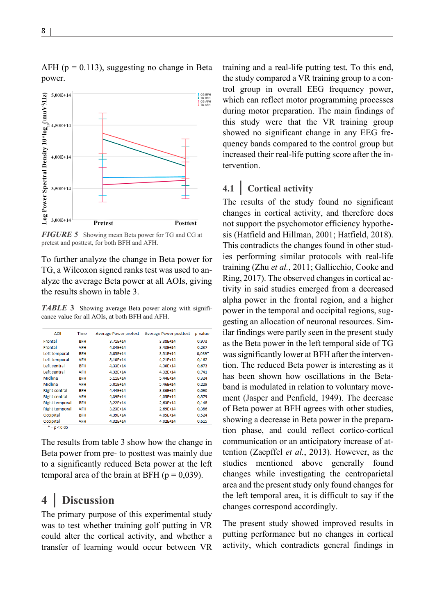

*FIGURE 5* Showing mean Beta power for TG and CG at pretest and posttest, for both BFH and AFH.

To further analyze the change in Beta power for TG, a Wilcoxon signed ranks test was used to analyze the average Beta power at all AOIs, giving the results shown in table 3.

*TABLE* **3** Showing average Beta power along with significance value for all AOIs, at both BFH and AFH.

| <b>AOI</b>            | <b>Time</b> | <b>Average Power pretest</b> | <b>Average Power posttest</b> | p-value  |
|-----------------------|-------------|------------------------------|-------------------------------|----------|
| Frontal               | <b>BFH</b>  | 3.71E+14                     | 3.38E+14                      | 0,973    |
| Frontal               | <b>AFH</b>  | 4,34E+14                     | 3,43E+14                      | 0,237    |
| Left temporal         | <b>BFH</b>  | 5.05E+14                     | 3,51E+14                      | $0.039*$ |
| Left temporal         | <b>AFH</b>  | 5.10E+14                     | 4,21E+14                      | 0,162    |
| Left central          | <b>BFH</b>  | 4,33E+14                     | 4,30E+14                      | 0,673    |
| Left central          | <b>AFH</b>  | 4,32E+14                     | 4,32E+14                      | 0,741    |
| Midline               | <b>BFH</b>  | 5,11E+14                     | 5,44E+14                      | 0,324    |
| Midline               | AFH         | 5.01E+14                     | 5,46E+14                      | 0.229    |
| <b>Right central</b>  | <b>BFH</b>  | 4,44E+14                     | 3,36E+14                      | 0,090    |
| <b>Right central</b>  | <b>AFH</b>  | 4,39E+14                     | 4,05E+14                      | 0,579    |
| <b>Right temporal</b> | <b>BFH</b>  | 3.22E+14                     | $2.63E+14$                    | 0.148    |
| <b>Right temporal</b> | <b>AFH</b>  | 3,23E+14                     | 2,69E+14                      | 0,386    |
| Occipital             | <b>BFH</b>  | 4,39E+14                     | 4,05E+14                      | 0,524    |
| Occipital             | AFH         | 4,32E+14                     | 4,02E+14                      | 0,615    |
| $* = p < 0.05$        |             |                              |                               |          |

The results from table 3 show how the change in Beta power from pre- to posttest was mainly due to a significantly reduced Beta power at the left temporal area of the brain at BFH ( $p = 0.039$ ).

## **4 | Discussion**

The primary purpose of this experimental study was to test whether training golf putting in VR could alter the cortical activity, and whether a transfer of learning would occur between VR

training and a real-life putting test. To this end, the study compared a VR training group to a control group in overall EEG frequency power, which can reflect motor programming processes during motor preparation. The main findings of this study were that the VR training group showed no significant change in any EEG frequency bands compared to the control group but increased their real-life putting score after the intervention.

## **4.1 | Cortical activity**

The results of the study found no significant changes in cortical activity, and therefore does not support the psychomotor efficiency hypothesis (Hatfield and Hillman, 2001; Hatfield, 2018). This contradicts the changes found in other studies performing similar protocols with real-life training (Zhu *et al.*, 2011; Gallicchio, Cooke and Ring, 2017). The observed changes in cortical activity in said studies emerged from a decreased alpha power in the frontal region, and a higher power in the temporal and occipital regions, suggesting an allocation of neuronal resources. Similar findings were partly seen in the present study as the Beta power in the left temporal side of TG was significantly lower at BFH after the intervention. The reduced Beta power is interesting as it has been shown how oscillations in the Betaband is modulated in relation to voluntary movement (Jasper and Penfield, 1949). The decrease of Beta power at BFH agrees with other studies, showing a decrease in Beta power in the preparation phase, and could reflect cortico-cortical communication or an anticipatory increase of attention (Zaepffel *et al.*, 2013). However, as the studies mentioned above generally found changes while investigating the centroparietal area and the present study only found changes for the left temporal area, it is difficult to say if the changes correspond accordingly.

The present study showed improved results in putting performance but no changes in cortical activity, which contradicts general findings in

AFH ( $p = 0.113$ ), suggesting no change in Beta power.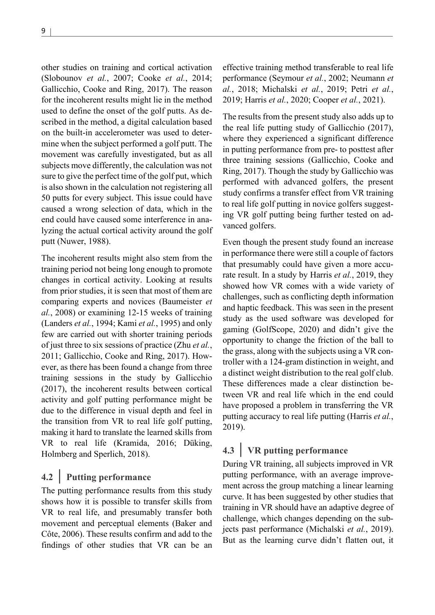other studies on training and cortical activation (Slobounov *et al.*, 2007; Cooke *et al.*, 2014; Gallicchio, Cooke and Ring, 2017). The reason for the incoherent results might lie in the method used to define the onset of the golf putts. As described in the method, a digital calculation based on the built-in accelerometer was used to determine when the subject performed a golf putt. The movement was carefully investigated, but as all subjects move differently, the calculation was not sure to give the perfect time of the golf put, which is also shown in the calculation not registering all 50 putts for every subject. This issue could have caused a wrong selection of data, which in the end could have caused some interference in analyzing the actual cortical activity around the golf putt (Nuwer, 1988).

The incoherent results might also stem from the training period not being long enough to promote changes in cortical activity. Looking at results from prior studies, it is seen that most of them are comparing experts and novices (Baumeister *et al.*, 2008) or examining 12-15 weeks of training (Landers *et al.*, 1994; Kami *et al.*, 1995) and only few are carried out with shorter training periods of just three to six sessions of practice (Zhu *et al.*, 2011; Gallicchio, Cooke and Ring, 2017). However, as there has been found a change from three training sessions in the study by Gallicchio (2017), the incoherent results between cortical activity and golf putting performance might be due to the difference in visual depth and feel in the transition from VR to real life golf putting, making it hard to translate the learned skills from VR to real life (Kramida, 2016; Düking, Holmberg and Sperlich, 2018).

#### **4.2 | Putting performance**

The putting performance results from this study shows how it is possible to transfer skills from VR to real life, and presumably transfer both movement and perceptual elements (Baker and Côte, 2006). These results confirm and add to the findings of other studies that VR can be an

effective training method transferable to real life performance (Seymour *et al.*, 2002; Neumann *et al.*, 2018; Michalski *et al.*, 2019; Petri *et al.*, 2019; Harris *et al.*, 2020; Cooper *et al.*, 2021).

The results from the present study also adds up to the real life putting study of Gallicchio (2017), where they experienced a significant difference in putting performance from pre- to posttest after three training sessions (Gallicchio, Cooke and Ring, 2017). Though the study by Gallicchio was performed with advanced golfers, the present study confirms a transfer effect from VR training to real life golf putting in novice golfers suggesting VR golf putting being further tested on advanced golfers.

Even though the present study found an increase in performance there were still a couple of factors that presumably could have given a more accurate result. In a study by Harris *et al.*, 2019, they showed how VR comes with a wide variety of challenges, such as conflicting depth information and haptic feedback. This was seen in the present study as the used software was developed for gaming (GolfScope, 2020) and didn't give the opportunity to change the friction of the ball to the grass, along with the subjects using a VR controller with a 124-gram distinction in weight, and a distinct weight distribution to the real golf club. These differences made a clear distinction between VR and real life which in the end could have proposed a problem in transferring the VR putting accuracy to real life putting (Harris *et al.*, 2019).

# **4.3 | VR putting performance**

During VR training, all subjects improved in VR putting performance, with an average improvement across the group matching a linear learning curve. It has been suggested by other studies that training in VR should have an adaptive degree of challenge, which changes depending on the subjects past performance (Michalski *et al.*, 2019). But as the learning curve didn't flatten out, it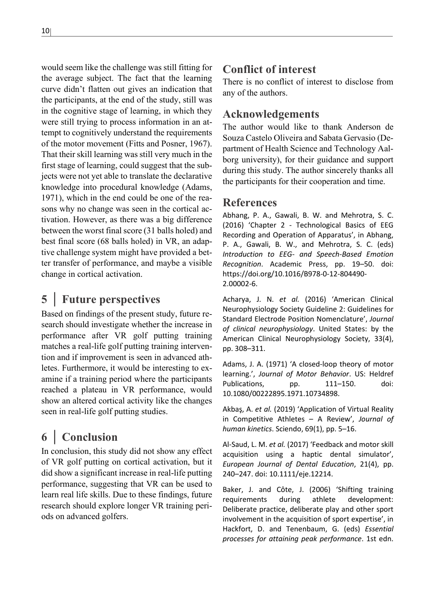would seem like the challenge was still fitting for the average subject. The fact that the learning curve didn't flatten out gives an indication that the participants, at the end of the study, still was in the cognitive stage of learning, in which they were still trying to process information in an attempt to cognitively understand the requirements of the motor movement (Fitts and Posner, 1967). That their skill learning was still very much in the first stage of learning, could suggest that the subjects were not yet able to translate the declarative knowledge into procedural knowledge (Adams, 1971), which in the end could be one of the reasons why no change was seen in the cortical activation. However, as there was a big difference between the worst final score (31 balls holed) and best final score (68 balls holed) in VR, an adaptive challenge system might have provided a better transfer of performance, and maybe a visible change in cortical activation.

## **5 | Future perspectives**

Based on findings of the present study, future research should investigate whether the increase in performance after VR golf putting training matches a real-life golf putting training intervention and if improvement is seen in advanced athletes. Furthermore, it would be interesting to examine if a training period where the participants reached a plateau in VR performance, would show an altered cortical activity like the changes seen in real-life golf putting studies.

# **6 | Conclusion**

In conclusion, this study did not show any effect of VR golf putting on cortical activation, but it did show a significant increase in real-life putting performance, suggesting that VR can be used to learn real life skills. Due to these findings, future research should explore longer VR training periods on advanced golfers.

## **Conflict of interest**

There is no conflict of interest to disclose from any of the authors.

## **Acknowledgements**

The author would like to thank Anderson de Souza Castelo Oliveira and Sabata Gervasio (Department of Health Science and Technology Aalborg university), for their guidance and support during this study. The author sincerely thanks all the participants for their cooperation and time.

#### **References**

Abhang, P. A., Gawali, B. W. and Mehrotra, S. C. (2016) 'Chapter 2 - Technological Basics of EEG Recording and Operation of Apparatus', in Abhang, P. A., Gawali, B. W., and Mehrotra, S. C. (eds) *Introduction to EEG- and Speech-Based Emotion Recognition*. Academic Press, pp. 19–50. doi: https://doi.org/10.1016/B978-0-12-804490- 2.00002-6.

Acharya, J. N. *et al.* (2016) 'American Clinical Neurophysiology Society Guideline 2: Guidelines for Standard Electrode Position Nomenclature', *Journal of clinical neurophysiology*. United States: by the American Clinical Neurophysiology Society, 33(4), pp. 308–311.

Adams, J. A. (1971) 'A closed-loop theory of motor learning.', *Journal of Motor Behavior*. US: Heldref Publications, pp. 111–150. doi: 10.1080/00222895.1971.10734898.

Akbaş, A. *et al.* (2019) 'Application of Virtual Reality in Competitive Athletes – A Review', *Journal of human kinetics*. Sciendo, 69(1), pp. 5–16.

Al-Saud, L. M. *et al.* (2017) 'Feedback and motor skill acquisition using a haptic dental simulator', *European Journal of Dental Education*, 21(4), pp. 240–247. doi: 10.1111/eje.12214.

Baker, J. and Côte, J. (2006) 'Shifting training requirements during athlete development: Deliberate practice, deliberate play and other sport involvement in the acquisition of sport expertise', in Hackfort, D. and Tenenbaum, G. (eds) *Essential processes for attaining peak performance*. 1st edn.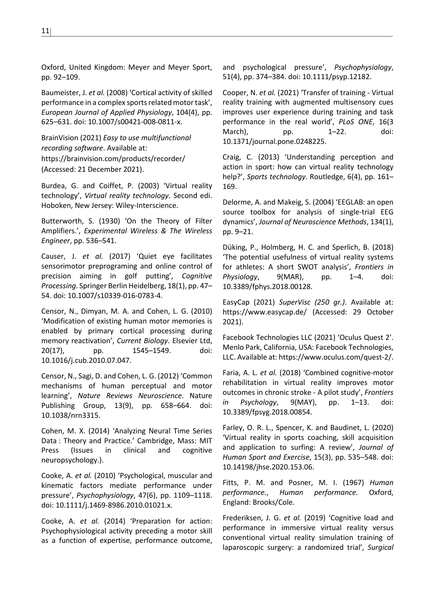Oxford, United Kingdom: Meyer and Meyer Sport, pp. 92–109.

Baumeister, J. *et al.* (2008) 'Cortical activity of skilled performance in a complex sports related motor task', *European Journal of Applied Physiology*, 104(4), pp. 625–631. doi: 10.1007/s00421-008-0811-x.

BrainVision (2021) *Easy to use multifunctional recording software*. Available at: https://brainvision.com/products/recorder/ (Accessed: 21 December 2021).

Burdea, G. and Coiffet, P. (2003) 'Virtual reality technology', *Virtual reality technology*. Second edi. Hoboken, New Jersey: Wiley-Interscience.

Butterworth, S. (1930) 'On the Theory of Filter Amplifiers.', *Experimental Wireless & The Wireless Engineer*, pp. 536–541.

Causer, J. *et al.* (2017) 'Quiet eye facilitates sensorimotor preprograming and online control of precision aiming in golf putting', *Cognitive Processing*. Springer Berlin Heidelberg, 18(1), pp. 47– 54. doi: 10.1007/s10339-016-0783-4.

Censor, N., Dimyan, M. A. and Cohen, L. G. (2010) 'Modification of existing human motor memories is enabled by primary cortical processing during memory reactivation', *Current Biology*. Elsevier Ltd, 20(17), pp. 1545–1549. doi: 10.1016/j.cub.2010.07.047.

Censor, N., Sagi, D. and Cohen, L. G. (2012) 'Common mechanisms of human perceptual and motor learning', *Nature Reviews Neuroscience*. Nature Publishing Group, 13(9), pp. 658–664. doi: 10.1038/nrn3315.

Cohen, M. X. (2014) 'Analyzing Neural Time Series Data : Theory and Practice.' Cambridge, Mass: MIT Press (Issues in clinical and cognitive neuropsychology.).

Cooke, A. *et al.* (2010) 'Psychological, muscular and kinematic factors mediate performance under pressure', *Psychophysiology*, 47(6), pp. 1109–1118. doi: 10.1111/j.1469-8986.2010.01021.x.

Cooke, A. *et al.* (2014) 'Preparation for action: Psychophysiological activity preceding a motor skill as a function of expertise, performance outcome,

and psychological pressure', *Psychophysiology*, 51(4), pp. 374–384. doi: 10.1111/psyp.12182.

Cooper, N. *et al.* (2021) 'Transfer of training - Virtual reality training with augmented multisensory cues improves user experience during training and task performance in the real world', *PLoS ONE*, 16(3 March), pp. 1–22. doi: 10.1371/journal.pone.0248225.

Craig, C. (2013) 'Understanding perception and action in sport: how can virtual reality technology help?', *Sports technology*. Routledge, 6(4), pp. 161– 169.

Delorme, A. and Makeig, S. (2004) 'EEGLAB: an open source toolbox for analysis of single-trial EEG dynamics', *Journal of Neuroscience Methods*, 134(1), pp. 9–21.

Düking, P., Holmberg, H. C. and Sperlich, B. (2018) 'The potential usefulness of virtual reality systems for athletes: A short SWOT analysis', *Frontiers in Physiology*, 9(MAR), pp. 1–4. doi: 10.3389/fphys.2018.00128.

EasyCap (2021) *SuperVisc (250 gr.)*. Available at: https://www.easycap.de/ (Accessed: 29 October 2021).

Facebook Technologies LLC (2021) 'Oculus Quest 2'. Menlo Park, California, USA: Facebook Technologies, LLC. Available at: https://www.oculus.com/quest-2/.

Faria, A. L. *et al.* (2018) 'Combined cognitive-motor rehabilitation in virtual reality improves motor outcomes in chronic stroke - A pilot study', *Frontiers in Psychology*, 9(MAY), pp. 1–13. doi: 10.3389/fpsyg.2018.00854.

Farley, O. R. L., Spencer, K. and Baudinet, L. (2020) 'Virtual reality in sports coaching, skill acquisition and application to surfing: A review', *Journal of Human Sport and Exercise*, 15(3), pp. 535–548. doi: 10.14198/jhse.2020.153.06.

Fitts, P. M. and Posner, M. I. (1967) *Human performance.*, *Human performance.* Oxford, England: Brooks/Cole.

Frederiksen, J. G. *et al.* (2019) 'Cognitive load and performance in immersive virtual reality versus conventional virtual reality simulation training of laparoscopic surgery: a randomized trial', *Surgical*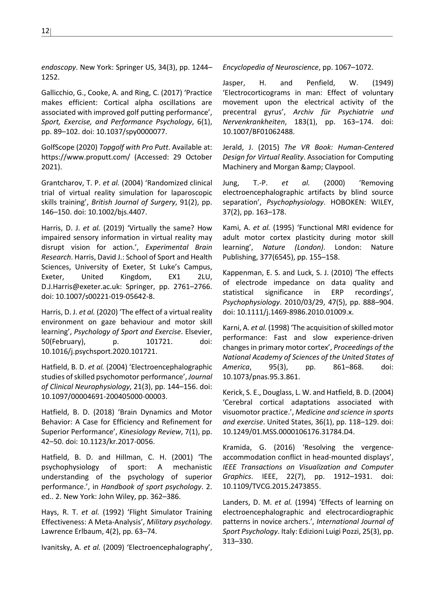*endoscopy*. New York: Springer US, 34(3), pp. 1244– 1252.

Gallicchio, G., Cooke, A. and Ring, C. (2017) 'Practice makes efficient: Cortical alpha oscillations are associated with improved golf putting performance', *Sport, Exercise, and Performance Psychology*, 6(1), pp. 89–102. doi: 10.1037/spy0000077.

GolfScope (2020) *Topgolf with Pro Putt*. Available at: https://www.proputt.com/ (Accessed: 29 October 2021).

Grantcharov, T. P. *et al.* (2004) 'Randomized clinical trial of virtual reality simulation for laparoscopic skills training', *British Journal of Surgery*, 91(2), pp. 146–150. doi: 10.1002/bjs.4407.

Harris, D. J. *et al.* (2019) 'Virtually the same? How impaired sensory information in virtual reality may disrupt vision for action.', *Experimental Brain Research*. Harris, David J.: School of Sport and Health Sciences, University of Exeter, St Luke's Campus, Exeter, United Kingdom, EX1 2LU, D.J.Harris@exeter.ac.uk: Springer, pp. 2761–2766. doi: 10.1007/s00221-019-05642-8.

Harris, D. J. *et al.* (2020) 'The effect of a virtual reality environment on gaze behaviour and motor skill learning', *Psychology of Sport and Exercise*. Elsevier, 50(February), p. 101721. doi: 10.1016/j.psychsport.2020.101721.

Hatfield, B. D. *et al.* (2004) 'Electroencephalographic studies of skilled psychomotor performance', *Journal of Clinical Neurophysiology*, 21(3), pp. 144–156. doi: 10.1097/00004691-200405000-00003.

Hatfield, B. D. (2018) 'Brain Dynamics and Motor Behavior: A Case for Efficiency and Refinement for Superior Performance', *Kinesiology Review*, 7(1), pp. 42–50. doi: 10.1123/kr.2017-0056.

Hatfield, B. D. and Hillman, C. H. (2001) 'The psychophysiology of sport: A mechanistic understanding of the psychology of superior performance.', in *Handbook of sport psychology*. 2. ed.. 2. New York: John Wiley, pp. 362–386.

Hays, R. T. *et al.* (1992) 'Flight Simulator Training Effectiveness: A Meta-Analysis', *Military psychology*. Lawrence Erlbaum, 4(2), pp. 63–74.

Ivanitsky, A. *et al.* (2009) 'Electroencephalography',

*Encyclopedia of Neuroscience*, pp. 1067–1072.

Jasper, H. and Penfield, W. (1949) 'Electrocorticograms in man: Effect of voluntary movement upon the electrical activity of the precentral gyrus', *Archiv für Psychiatrie und Nervenkrankheiten*, 183(1), pp. 163–174. doi: 10.1007/BF01062488.

Jerald, J. (2015) *The VR Book: Human-Centered Design for Virtual Reality*. Association for Computing Machinery and Morgan & amp; Claypool.

Jung, T.-P. *et al.* (2000) 'Removing electroencephalographic artifacts by blind source separation', *Psychophysiology*. HOBOKEN: WILEY, 37(2), pp. 163–178.

Kami, A. *et al.* (1995) 'Functional MRI evidence for adult motor cortex plasticity during motor skill learning', *Nature (London)*. London: Nature Publishing, 377(6545), pp. 155–158.

Kappenman, E. S. and Luck, S. J. (2010) 'The effects of electrode impedance on data quality and statistical significance in ERP recordings', *Psychophysiology*. 2010/03/29, 47(5), pp. 888–904. doi: 10.1111/j.1469-8986.2010.01009.x.

Karni, A. *et al.* (1998) 'The acquisition of skilled motor performance: Fast and slow experience-driven changes in primary motor cortex', *Proceedings of the National Academy of Sciences of the United States of America*, 95(3), pp. 861–868. doi: 10.1073/pnas.95.3.861.

Kerick, S. E., Douglass, L. W. and Hatfield, B. D. (2004) 'Cerebral cortical adaptations associated with visuomotor practice.', *Medicine and science in sports and exercise*. United States, 36(1), pp. 118–129. doi: 10.1249/01.MSS.0000106176.31784.D4.

Kramida, G. (2016) 'Resolving the vergenceaccommodation conflict in head-mounted displays', *IEEE Transactions on Visualization and Computer Graphics*. IEEE, 22(7), pp. 1912–1931. doi: 10.1109/TVCG.2015.2473855.

Landers, D. M. *et al.* (1994) 'Effects of learning on electroencephalographic and electrocardiographic patterns in novice archers.', *International Journal of Sport Psychology*. Italy: Edizioni Luigi Pozzi, 25(3), pp. 313–330.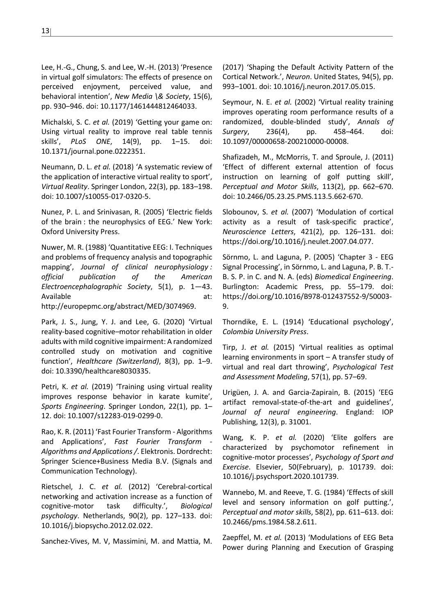Lee, H.-G., Chung, S. and Lee, W.-H. (2013) 'Presence in virtual golf simulators: The effects of presence on perceived enjoyment, perceived value, and behavioral intention', *New Media \& Society*, 15(6), pp. 930–946. doi: 10.1177/1461444812464033.

Michalski, S. C. *et al.* (2019) 'Getting your game on: Using virtual reality to improve real table tennis skills', *PLoS ONE*, 14(9), pp. 1–15. doi: 10.1371/journal.pone.0222351.

Neumann, D. L. *et al.* (2018) 'A systematic review of the application of interactive virtual reality to sport', *Virtual Reality*. Springer London, 22(3), pp. 183–198. doi: 10.1007/s10055-017-0320-5.

Nunez, P. L. and Srinivasan, R. (2005) 'Electric fields of the brain : the neurophysics of EEG.' New York: Oxford University Press.

Nuwer, M. R. (1988) 'Quantitative EEG: I. Techniques and problems of frequency analysis and topographic mapping', *Journal of clinical neurophysiology : official publication of the American Electroencephalographic Society*, 5(1), p. 1—43. Available at:

http://europepmc.org/abstract/MED/3074969.

Park, J. S., Jung, Y. J. and Lee, G. (2020) 'Virtual reality-based cognitive–motor rehabilitation in older adults with mild cognitive impairment: A randomized controlled study on motivation and cognitive function', *Healthcare (Switzerland)*, 8(3), pp. 1–9. doi: 10.3390/healthcare8030335.

Petri, K. *et al.* (2019) 'Training using virtual reality improves response behavior in karate kumite', *Sports Engineering*. Springer London, 22(1), pp. 1– 12. doi: 10.1007/s12283-019-0299-0.

Rao, K. R. (2011) 'Fast Fourier Transform - Algorithms and Applications', Fast Fourier Transform *Algorithms and Applications /*. Elektronis. Dordrecht: Springer Science+Business Media B.V. (Signals and Communication Technology).

Rietschel, J. C. *et al.* (2012) 'Cerebral-cortical networking and activation increase as a function of cognitive-motor task difficulty.', *Biological psychology*. Netherlands, 90(2), pp. 127–133. doi: 10.1016/j.biopsycho.2012.02.022.

Sanchez-Vives, M. V, Massimini, M. and Mattia, M.

(2017) 'Shaping the Default Activity Pattern of the Cortical Network.', *Neuron*. United States, 94(5), pp. 993–1001. doi: 10.1016/j.neuron.2017.05.015.

Seymour, N. E. *et al.* (2002) 'Virtual reality training improves operating room performance results of a randomized, double-blinded study', *Annals of Surgery*, 236(4), pp. 458–464. doi: 10.1097/00000658-200210000-00008.

Shafizadeh, M., McMorris, T. and Sproule, J. (2011) 'Effect of different external attention of focus instruction on learning of golf putting skill', *Perceptual and Motor Skills*, 113(2), pp. 662–670. doi: 10.2466/05.23.25.PMS.113.5.662-670.

Slobounov, S. *et al.* (2007) 'Modulation of cortical activity as a result of task-specific practice', *Neuroscience Letters*, 421(2), pp. 126–131. doi: https://doi.org/10.1016/j.neulet.2007.04.077.

Sörnmo, L. and Laguna, P. (2005) 'Chapter 3 - EEG Signal Processing', in Sörnmo, L. and Laguna, P. B. T.- B. S. P. in C. and N. A. (eds) *Biomedical Engineering*. Burlington: Academic Press, pp. 55–179. doi: https://doi.org/10.1016/B978-012437552-9/50003- 9.

Thorndike, E. L. (1914) 'Educational psychology', *Colombia University Press*.

Tirp, J. *et al.* (2015) 'Virtual realities as optimal learning environments in sport – A transfer study of virtual and real dart throwing', *Psychological Test and Assessment Modeling*, 57(1), pp. 57–69.

Urigüen, J. A. and Garcia-Zapirain, B. (2015) 'EEG artifact removal-state-of-the-art and guidelines', *Journal of neural engineering*. England: IOP Publishing, 12(3), p. 31001.

Wang, K. P. *et al.* (2020) 'Elite golfers are characterized by psychomotor refinement in cognitive-motor processes', *Psychology of Sport and Exercise*. Elsevier, 50(February), p. 101739. doi: 10.1016/j.psychsport.2020.101739.

Wannebo, M. and Reeve, T. G. (1984) 'Effects of skill level and sensory information on golf putting.', *Perceptual and motor skills*, 58(2), pp. 611–613. doi: 10.2466/pms.1984.58.2.611.

Zaepffel, M. *et al.* (2013) 'Modulations of EEG Beta Power during Planning and Execution of Grasping